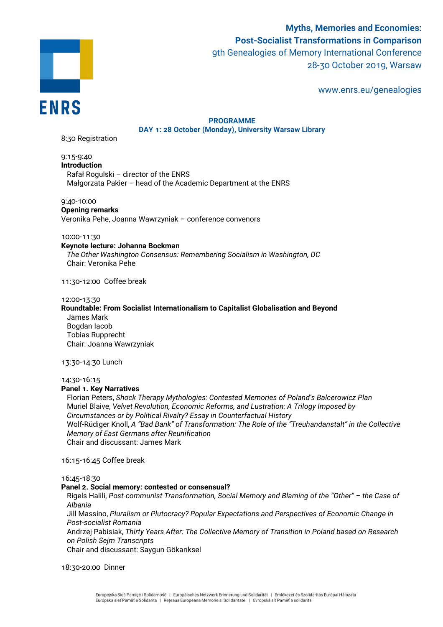

**Myths, Memories and Economies: Post-Socialist Transformations in Comparison** 9th Genealogies of Memory International Conference 28-30 October 2019, Warsaw

www.enrs.eu/genealogies

# **PROGRAMME DAY 1: 28 October (Monday), University Warsaw Library**

8:30 Registration

9:15-9:40 **Introduction** Rafał Rogulski – director of the ENRS Małgorzata Pakier – head of the Academic Department at the ENRS

9:40-10:00

# **Opening remarks**

Veronika Pehe, Joanna Wawrzyniak – conference convenors

# 10:00-11:30

# **Keynote lecture: Johanna Bockman**

*The Other Washington Consensus: Remembering Socialism in Washington, DC* Chair: Veronika Pehe

11:30-12:00 Coffee break

#### 12:00-13:30

# **Roundtable: From Socialist Internationalism to Capitalist Globalisation and Beyond** James Mark Bogdan Iacob

Tobias Rupprecht Chair: Joanna Wawrzyniak

# 13:30-14:30 Lunch

# 14:30-16:15

# **Panel 1. Key Narratives**

Florian Peters, *Shock Therapy Mythologies: Contested Memories of Poland's Balcerowicz Plan*  Muriel Blaive, *Velvet Revolution, Economic Reforms, and Lustration: A Trilogy Imposed by Circumstances or by Political Rivalry? Essay in Counterfactual History* Wolf-Rüdiger Knoll, *A "Bad Bank" of Transformation: The Role of the "Treuhandanstalt" in the Collective Memory of East Germans after Reunification* Chair and discussant: James Mark

16:15-16:45 Coffee break

#### 16:45-18:30

# **Panel 2. Social memory: contested or consensual?**

Rigels Halili, *Post-communist Transformation, Social Memory and Blaming of the "Other" – the Case of Albania*

Jill Massino, *Pluralism or Plutocracy? Popular Expectations and Perspectives of Economic Change in Post-socialist Romania*

Andrzej Pabisiak, *Thirty Years After: The Collective Memory of Transition in Poland based on Research on Polish Sejm Transcripts*

Chair and discussant: Saygun Gökarıksel

18:30-20:00 Dinner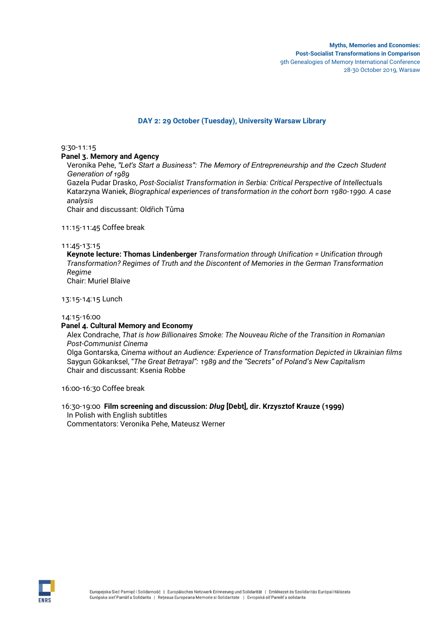# **DAY 2: 29 October (Tuesday), University Warsaw Library**

9:30-11:15

**Panel 3. Memory and Agency** 

Veronika Pehe, *"Let's Start a Business": The Memory of Entrepreneurship and the Czech Student Generation of 1989* 

Gazela Pudar Drasko, *Post-Socialist Transformation in Serbia: Critical Perspective of Intellectua*ls Katarzyna Waniek, *Biographical experiences of transformation in the cohort born 1980-1990. A case analysis*

Chair and discussant: Oldřich Tůma

11:15-11:45 Coffee break

## 11:45-13:15

**Keynote lecture: Thomas Lindenberger** *Transformation through Unification = Unification through Transformation? Regimes of Truth and the Discontent of Memories in the German Transformation Regime* Chair: Muriel Blaive

13:15-14:15 Lunch

#### 14:15-16:00

# **Panel 4. Cultural Memory and Economy**

Alex Condrache, *That is how Billionaires Smoke: The Nouveau Riche of the Transition in Romanian Post-Communist Cinema*  Olga Gontarska, C*inema without an Audience: Experience of Transformation Depicted in Ukrainian films*

Saygun Gökarıksel, "*The Great Betrayal": 1989 and the "Secrets" of Poland's New Capitalism* Chair and discussant: Ksenia Robbe

16:00-16:30 Coffee break

16:30-19:00 **Film screening and discussion:** *Dług* **[Debt], dir. Krzysztof Krauze (1999)** In Polish with English subtitles Commentators: Veronika Pehe, Mateusz Werner

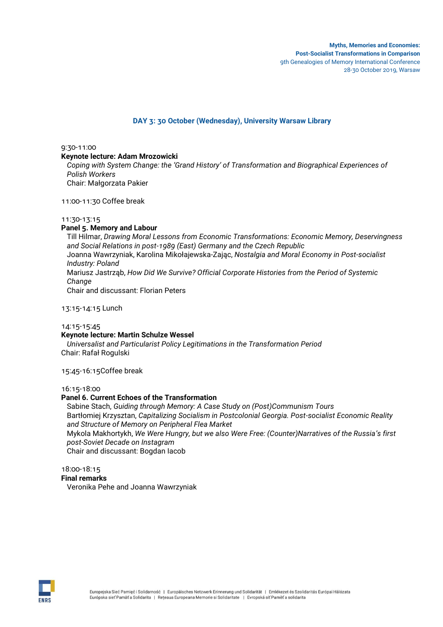# **DAY 3: 30 October (Wednesday), University Warsaw Library**

9:30-11:00

# **Keynote lecture: Adam Mrozowicki**

*Coping with System Change: the 'Grand History' of Transformation and Biographical Experiences of Polish Workers*  Chair: Małgorzata Pakier

11:00-11:30 Coffee break

## 11:30-13:15

# **Panel 5. Memory and Labour**

Till Hilmar, *Drawing Moral Lessons from Economic Transformations: Economic Memory, Deservingness and Social Relations in post-1989 (East) Germany and the Czech Republic* Joanna Wawrzyniak, Karolina Mikołajewska-Zając, *Nostalgia and Moral Economy in Post-socialist Industry: Poland*  Mariusz Jastrząb, *How Did We Survive? Official Corporate Histories from the Period of Systemic Change* Chair and discussant: Florian Peters

13:15-14:15 Lunch

#### 14:15-15:45 **Keynote lecture: Martin Schulze Wessel**

*Universalist and Particularist Policy Legitimations in the Transformation Period* Chair: Rafał Rogulski

15:45-16:15Coffee break

# 16:15-18:00

# **Panel 6. Current Echoes of the Transformation**

Sabine Stach, *Guiding through Memory: A Case Study on (Post)Communism Tours*  Bartłomiej Krzysztan, *Capitalizing Socialism in Postcolonial Georgia. Post-socialist Economic Reality and Structure of Memory on Peripheral Flea Market* 

Mykola Makhortykh, *We Were Hungry, but we also Were Free: (Counter)Narratives of the Russia's first post-Soviet Decade on Instagram*

Chair and discussant: Bogdan Iacob

# 18:00-18:15

**Final remarks**

Veronika Pehe and Joanna Wawrzyniak